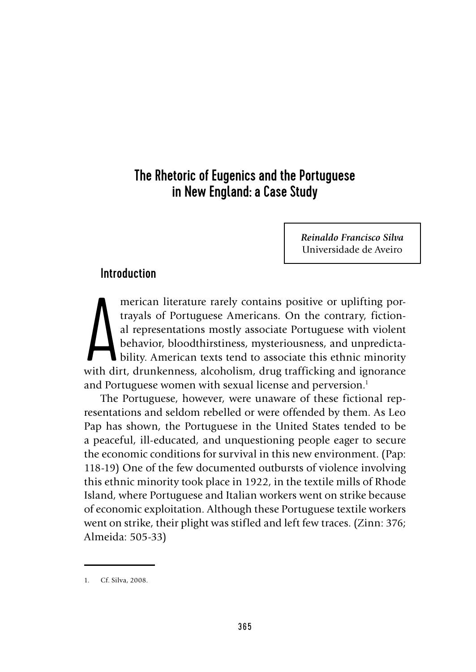# The Rhetoric of Eugenics and the Portuguese in New England: a Case Study

*Reinaldo Francisco Silva* Universidade de Aveiro

# Introduction

merican literature rarely contains positive or uplifting por-<br>trayals of Portuguese Americans. On the contrary, fiction-<br>al representations mostly associate Portuguese with violent<br>behavior, bloodthirstiness, mysteriousnes merican literature rarely contains positive or uplifting portrayals of Portuguese Americans. On the contrary, fictional representations mostly associate Portuguese with violent behavior, bloodthirstiness, mysteriousness, and unpredictability. American texts tend to associate this ethnic minority and Portuguese women with sexual license and perversion.<sup>1</sup>

The Portuguese, however, were unaware of these fictional representations and seldom rebelled or were offended by them. As Leo Pap has shown, the Portuguese in the United States tended to be a peaceful, ill-educated, and unquestioning people eager to secure the economic conditions for survival in this new environment. (Pap: 118-19) One of the few documented outbursts of violence involving this ethnic minority took place in 1922, in the textile mills of Rhode Island, where Portuguese and Italian workers went on strike because of economic exploitation. Although these Portuguese textile workers went on strike, their plight was stifled and left few traces. (Zinn: 376; Almeida: 505-33)

<sup>1.</sup> Cf. Silva, 2008.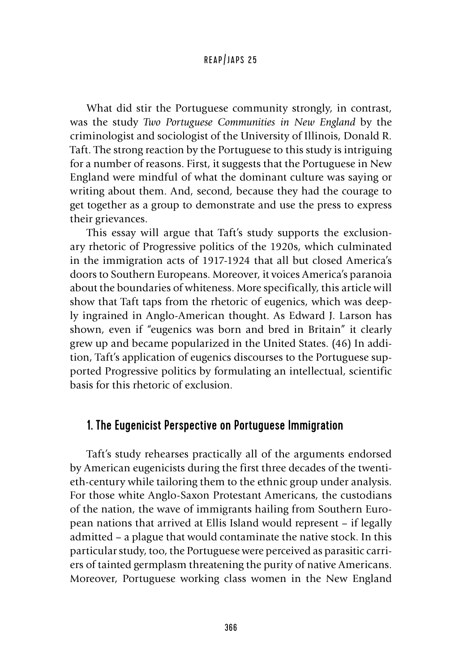What did stir the Portuguese community strongly, in contrast, was the study *Two Portuguese Communities in New England* by the criminologist and sociologist of the University of Illinois, Donald R. Taft. The strong reaction by the Portuguese to this study is intriguing for a number of reasons. First, it suggests that the Portuguese in New England were mindful of what the dominant culture was saying or writing about them. And, second, because they had the courage to get together as a group to demonstrate and use the press to express their grievances.

This essay will argue that Taft's study supports the exclusionary rhetoric of Progressive politics of the 1920s, which culminated in the immigration acts of 1917-1924 that all but closed America's doors to Southern Europeans. Moreover, it voices America's paranoia about the boundaries of whiteness. More specifically, this article will show that Taft taps from the rhetoric of eugenics, which was deeply ingrained in Anglo-American thought. As Edward J. Larson has shown, even if "eugenics was born and bred in Britain" it clearly grew up and became popularized in the United States. (46) In addition, Taft's application of eugenics discourses to the Portuguese supported Progressive politics by formulating an intellectual, scientific basis for this rhetoric of exclusion.

# 1. The Eugenicist Perspective on Portuguese Immigration

Taft's study rehearses practically all of the arguments endorsed by American eugenicists during the first three decades of the twentieth-century while tailoring them to the ethnic group under analysis. For those white Anglo-Saxon Protestant Americans, the custodians of the nation, the wave of immigrants hailing from Southern European nations that arrived at Ellis Island would represent – if legally admitted – a plague that would contaminate the native stock. In this particular study, too, the Portuguese were perceived as parasitic carriers of tainted germplasm threatening the purity of native Americans. Moreover, Portuguese working class women in the New England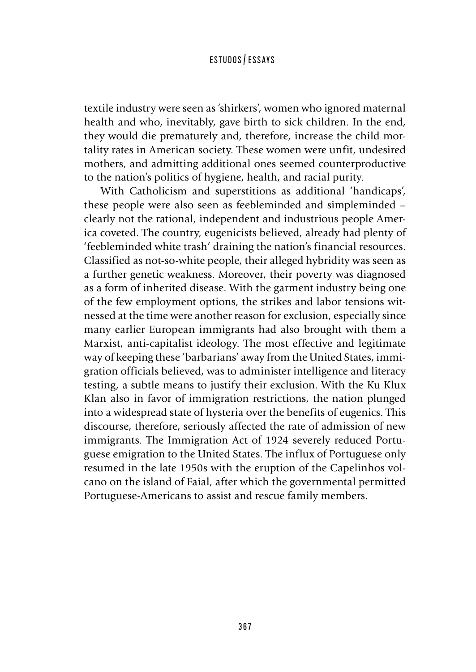textile industry were seen as 'shirkers', women who ignored maternal health and who, inevitably, gave birth to sick children. In the end, they would die prematurely and, therefore, increase the child mortality rates in American society. These women were unfit, undesired mothers, and admitting additional ones seemed counterproductive to the nation's politics of hygiene, health, and racial purity.

With Catholicism and superstitions as additional 'handicaps', these people were also seen as feebleminded and simpleminded – clearly not the rational, independent and industrious people America coveted. The country, eugenicists believed, already had plenty of 'feebleminded white trash' draining the nation's financial resources. Classified as not-so-white people, their alleged hybridity was seen as a further genetic weakness. Moreover, their poverty was diagnosed as a form of inherited disease. With the garment industry being one of the few employment options, the strikes and labor tensions witnessed at the time were another reason for exclusion, especially since many earlier European immigrants had also brought with them a Marxist, anti-capitalist ideology. The most effective and legitimate way of keeping these 'barbarians' away from the United States, immigration officials believed, was to administer intelligence and literacy testing, a subtle means to justify their exclusion. With the Ku Klux Klan also in favor of immigration restrictions, the nation plunged into a widespread state of hysteria over the benefits of eugenics. This discourse, therefore, seriously affected the rate of admission of new immigrants. The Immigration Act of 1924 severely reduced Portuguese emigration to the United States. The influx of Portuguese only resumed in the late 1950s with the eruption of the Capelinhos volcano on the island of Faial, after which the governmental permitted Portuguese-Americans to assist and rescue family members.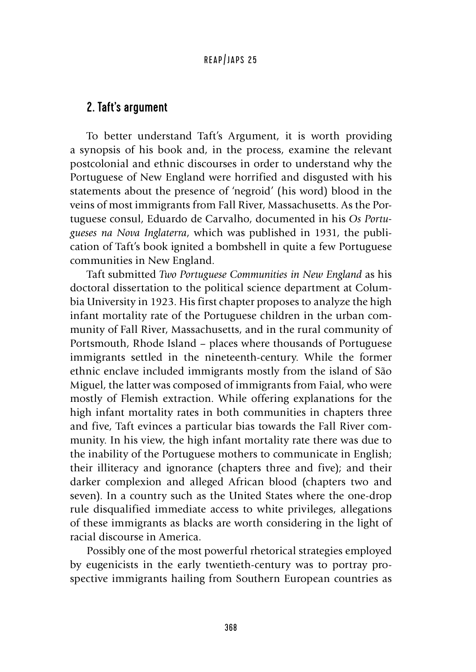# 2. Taft's argument

To better understand Taft's Argument, it is worth providing a synopsis of his book and, in the process, examine the relevant postcolonial and ethnic discourses in order to understand why the Portuguese of New England were horrified and disgusted with his statements about the presence of 'negroid' (his word) blood in the veins of most immigrants from Fall River, Massachusetts. As the Portuguese consul, Eduardo de Carvalho, documented in his *Os Portugueses na Nova Inglaterra*, which was published in 1931, the publication of Taft's book ignited a bombshell in quite a few Portuguese communities in New England.

Taft submitted *Two Portuguese Communities in New England* as his doctoral dissertation to the political science department at Columbia University in 1923. His first chapter proposes to analyze the high infant mortality rate of the Portuguese children in the urban community of Fall River, Massachusetts, and in the rural community of Portsmouth, Rhode Island – places where thousands of Portuguese immigrants settled in the nineteenth-century. While the former ethnic enclave included immigrants mostly from the island of São Miguel, the latter was composed of immigrants from Faial, who were mostly of Flemish extraction. While offering explanations for the high infant mortality rates in both communities in chapters three and five, Taft evinces a particular bias towards the Fall River community. In his view, the high infant mortality rate there was due to the inability of the Portuguese mothers to communicate in English; their illiteracy and ignorance (chapters three and five); and their darker complexion and alleged African blood (chapters two and seven). In a country such as the United States where the one-drop rule disqualified immediate access to white privileges, allegations of these immigrants as blacks are worth considering in the light of racial discourse in America.

Possibly one of the most powerful rhetorical strategies employed by eugenicists in the early twentieth-century was to portray prospective immigrants hailing from Southern European countries as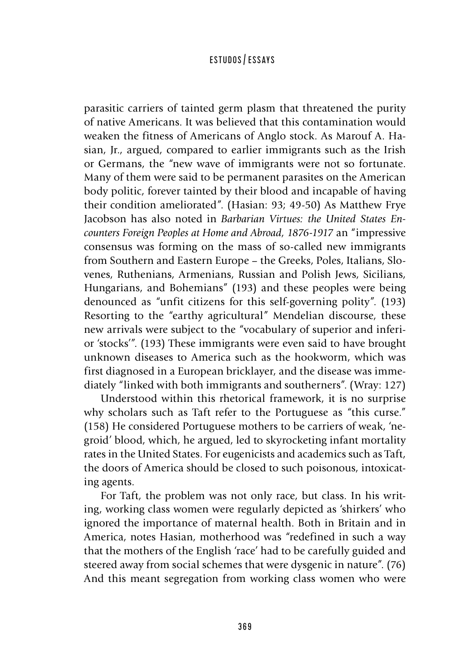parasitic carriers of tainted germ plasm that threatened the purity of native Americans. It was believed that this contamination would weaken the fitness of Americans of Anglo stock. As Marouf A. Hasian, Jr., argued, compared to earlier immigrants such as the Irish or Germans, the "new wave of immigrants were not so fortunate. Many of them were said to be permanent parasites on the American body politic, forever tainted by their blood and incapable of having their condition ameliorated". (Hasian: 93; 49-50) As Matthew Frye Jacobson has also noted in *Barbarian Virtues: the United States Encounters Foreign Peoples at Home and Abroad, 1876-1917* an "impressive consensus was forming on the mass of so-called new immigrants from Southern and Eastern Europe – the Greeks, Poles, Italians, Slovenes, Ruthenians, Armenians, Russian and Polish Jews, Sicilians, Hungarians, and Bohemians" (193) and these peoples were being denounced as "unfit citizens for this self-governing polity". (193) Resorting to the "earthy agricultural" Mendelian discourse, these new arrivals were subject to the "vocabulary of superior and inferior 'stocks'". (193) These immigrants were even said to have brought unknown diseases to America such as the hookworm, which was first diagnosed in a European bricklayer, and the disease was immediately "linked with both immigrants and southerners". (Wray: 127)

Understood within this rhetorical framework, it is no surprise why scholars such as Taft refer to the Portuguese as "this curse." (158) He considered Portuguese mothers to be carriers of weak, 'negroid' blood, which, he argued, led to skyrocketing infant mortality rates in the United States. For eugenicists and academics such as Taft, the doors of America should be closed to such poisonous, intoxicating agents.

For Taft, the problem was not only race, but class. In his writing, working class women were regularly depicted as 'shirkers' who ignored the importance of maternal health. Both in Britain and in America, notes Hasian, motherhood was "redefined in such a way that the mothers of the English 'race' had to be carefully guided and steered away from social schemes that were dysgenic in nature". (76) And this meant segregation from working class women who were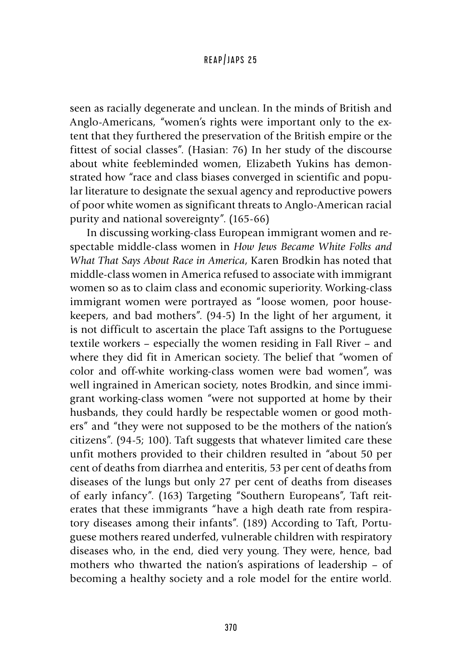seen as racially degenerate and unclean. In the minds of British and Anglo-Americans, "women's rights were important only to the extent that they furthered the preservation of the British empire or the fittest of social classes". (Hasian: 76) In her study of the discourse about white feebleminded women, Elizabeth Yukins has demonstrated how "race and class biases converged in scientific and popular literature to designate the sexual agency and reproductive powers of poor white women as significant threats to Anglo-American racial purity and national sovereignty". (165-66)

In discussing working-class European immigrant women and respectable middle-class women in *How Jews Became White Folks and What That Says About Race in America*, Karen Brodkin has noted that middle-class women in America refused to associate with immigrant women so as to claim class and economic superiority. Working-class immigrant women were portrayed as "loose women, poor housekeepers, and bad mothers". (94-5) In the light of her argument, it is not difficult to ascertain the place Taft assigns to the Portuguese textile workers – especially the women residing in Fall River – and where they did fit in American society. The belief that "women of color and off-white working-class women were bad women", was well ingrained in American society, notes Brodkin, and since immigrant working-class women "were not supported at home by their husbands, they could hardly be respectable women or good mothers" and "they were not supposed to be the mothers of the nation's citizens". (94-5; 100). Taft suggests that whatever limited care these unfit mothers provided to their children resulted in "about 50 per cent of deaths from diarrhea and enteritis, 53 per cent of deaths from diseases of the lungs but only 27 per cent of deaths from diseases of early infancy". (163) Targeting "Southern Europeans", Taft reiterates that these immigrants "have a high death rate from respiratory diseases among their infants". (189) According to Taft, Portuguese mothers reared underfed, vulnerable children with respiratory diseases who, in the end, died very young. They were, hence, bad mothers who thwarted the nation's aspirations of leadership – of becoming a healthy society and a role model for the entire world.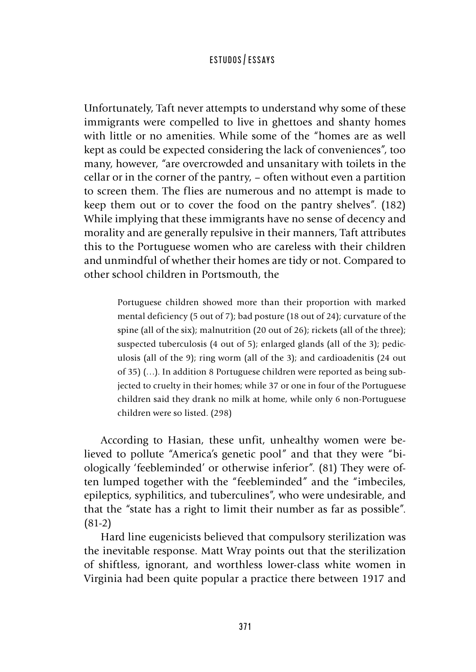Unfortunately, Taft never attempts to understand why some of these immigrants were compelled to live in ghettoes and shanty homes with little or no amenities. While some of the "homes are as well kept as could be expected considering the lack of conveniences", too many, however, "are overcrowded and unsanitary with toilets in the cellar or in the corner of the pantry, – often without even a partition to screen them. The flies are numerous and no attempt is made to keep them out or to cover the food on the pantry shelves". (182) While implying that these immigrants have no sense of decency and morality and are generally repulsive in their manners, Taft attributes this to the Portuguese women who are careless with their children and unmindful of whether their homes are tidy or not. Compared to other school children in Portsmouth, the

> Portuguese children showed more than their proportion with marked mental deficiency (5 out of 7); bad posture (18 out of 24); curvature of the spine (all of the six); malnutrition (20 out of 26); rickets (all of the three); suspected tuberculosis (4 out of 5); enlarged glands (all of the 3); pediculosis (all of the 9); ring worm (all of the 3); and cardioadenitis (24 out of 35) (…). In addition 8 Portuguese children were reported as being subjected to cruelty in their homes; while 37 or one in four of the Portuguese children said they drank no milk at home, while only 6 non-Portuguese children were so listed. (298)

According to Hasian, these unfit, unhealthy women were believed to pollute "America's genetic pool" and that they were "biologically 'feebleminded' or otherwise inferior". (81) They were often lumped together with the "feebleminded" and the "imbeciles, epileptics, syphilitics, and tuberculines", who were undesirable, and that the "state has a right to limit their number as far as possible". (81-2)

Hard line eugenicists believed that compulsory sterilization was the inevitable response. Matt Wray points out that the sterilization of shiftless, ignorant, and worthless lower-class white women in Virginia had been quite popular a practice there between 1917 and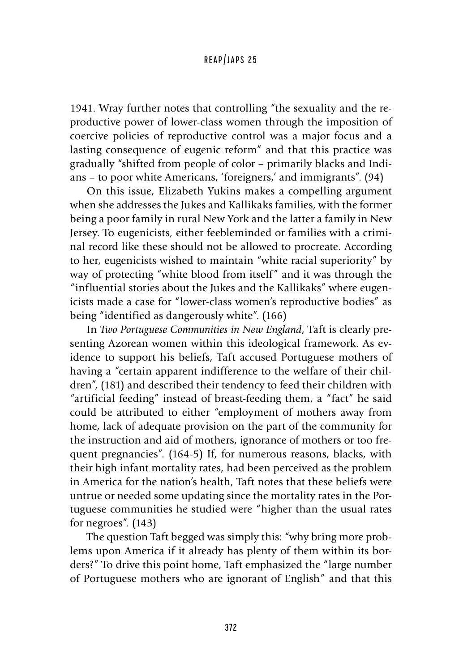1941. Wray further notes that controlling "the sexuality and the reproductive power of lower-class women through the imposition of coercive policies of reproductive control was a major focus and a lasting consequence of eugenic reform" and that this practice was gradually "shifted from people of color – primarily blacks and Indians – to poor white Americans, 'foreigners,' and immigrants". (94)

On this issue, Elizabeth Yukins makes a compelling argument when she addresses the Jukes and Kallikaks families, with the former being a poor family in rural New York and the latter a family in New Jersey. To eugenicists, either feebleminded or families with a criminal record like these should not be allowed to procreate. According to her, eugenicists wished to maintain "white racial superiority" by way of protecting "white blood from itself" and it was through the "influential stories about the Jukes and the Kallikaks" where eugenicists made a case for "lower-class women's reproductive bodies" as being "identified as dangerously white". (166)

In *Two Portuguese Communities in New England*, Taft is clearly presenting Azorean women within this ideological framework. As evidence to support his beliefs, Taft accused Portuguese mothers of having a "certain apparent indifference to the welfare of their children", (181) and described their tendency to feed their children with "artificial feeding" instead of breast-feeding them, a "fact" he said could be attributed to either "employment of mothers away from home, lack of adequate provision on the part of the community for the instruction and aid of mothers, ignorance of mothers or too frequent pregnancies". (164-5) If, for numerous reasons, blacks, with their high infant mortality rates, had been perceived as the problem in America for the nation's health, Taft notes that these beliefs were untrue or needed some updating since the mortality rates in the Portuguese communities he studied were "higher than the usual rates for negroes". (143)

The question Taft begged was simply this: "why bring more problems upon America if it already has plenty of them within its borders?" To drive this point home, Taft emphasized the "large number of Portuguese mothers who are ignorant of English" and that this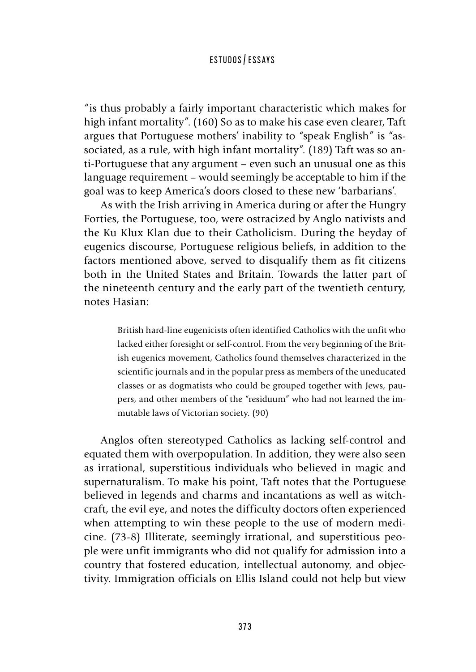"is thus probably a fairly important characteristic which makes for high infant mortality". (160) So as to make his case even clearer, Taft argues that Portuguese mothers' inability to "speak English" is "associated, as a rule, with high infant mortality". (189) Taft was so anti-Portuguese that any argument – even such an unusual one as this language requirement – would seemingly be acceptable to him if the goal was to keep America's doors closed to these new 'barbarians'.

As with the Irish arriving in America during or after the Hungry Forties, the Portuguese, too, were ostracized by Anglo nativists and the Ku Klux Klan due to their Catholicism. During the heyday of eugenics discourse, Portuguese religious beliefs, in addition to the factors mentioned above, served to disqualify them as fit citizens both in the United States and Britain. Towards the latter part of the nineteenth century and the early part of the twentieth century, notes Hasian:

> British hard-line eugenicists often identified Catholics with the unfit who lacked either foresight or self-control. From the very beginning of the British eugenics movement, Catholics found themselves characterized in the scientific journals and in the popular press as members of the uneducated classes or as dogmatists who could be grouped together with Jews, paupers, and other members of the "residuum" who had not learned the immutable laws of Victorian society. (90)

Anglos often stereotyped Catholics as lacking self-control and equated them with overpopulation. In addition, they were also seen as irrational, superstitious individuals who believed in magic and supernaturalism. To make his point, Taft notes that the Portuguese believed in legends and charms and incantations as well as witchcraft, the evil eye, and notes the difficulty doctors often experienced when attempting to win these people to the use of modern medicine. (73-8) Illiterate, seemingly irrational, and superstitious people were unfit immigrants who did not qualify for admission into a country that fostered education, intellectual autonomy, and objectivity. Immigration officials on Ellis Island could not help but view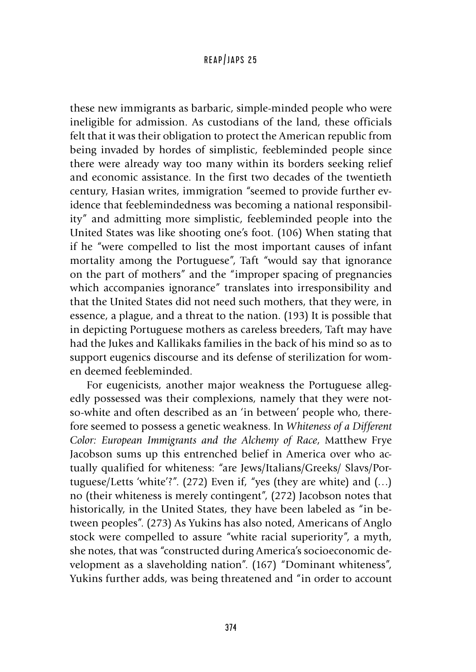these new immigrants as barbaric, simple-minded people who were ineligible for admission. As custodians of the land, these officials felt that it was their obligation to protect the American republic from being invaded by hordes of simplistic, feebleminded people since there were already way too many within its borders seeking relief and economic assistance. In the first two decades of the twentieth century, Hasian writes, immigration "seemed to provide further evidence that feeblemindedness was becoming a national responsibility" and admitting more simplistic, feebleminded people into the United States was like shooting one's foot. (106) When stating that if he "were compelled to list the most important causes of infant mortality among the Portuguese", Taft "would say that ignorance on the part of mothers" and the "improper spacing of pregnancies which accompanies ignorance" translates into irresponsibility and that the United States did not need such mothers, that they were, in essence, a plague, and a threat to the nation. (193) It is possible that in depicting Portuguese mothers as careless breeders, Taft may have had the Jukes and Kallikaks families in the back of his mind so as to support eugenics discourse and its defense of sterilization for women deemed feebleminded.

For eugenicists, another major weakness the Portuguese allegedly possessed was their complexions, namely that they were notso-white and often described as an 'in between' people who, therefore seemed to possess a genetic weakness. In *Whiteness of a Different Color: European Immigrants and the Alchemy of Race*, Matthew Frye Jacobson sums up this entrenched belief in America over who actually qualified for whiteness: "are Jews/Italians/Greeks/ Slavs/Portuguese/Letts 'white'?". (272) Even if, "yes (they are white) and  $(...)$ no (their whiteness is merely contingent", (272) Jacobson notes that historically, in the United States, they have been labeled as "in between peoples". (273) As Yukins has also noted, Americans of Anglo stock were compelled to assure "white racial superiority", a myth, she notes, that was "constructed during America's socioeconomic development as a slaveholding nation". (167) "Dominant whiteness", Yukins further adds, was being threatened and "in order to account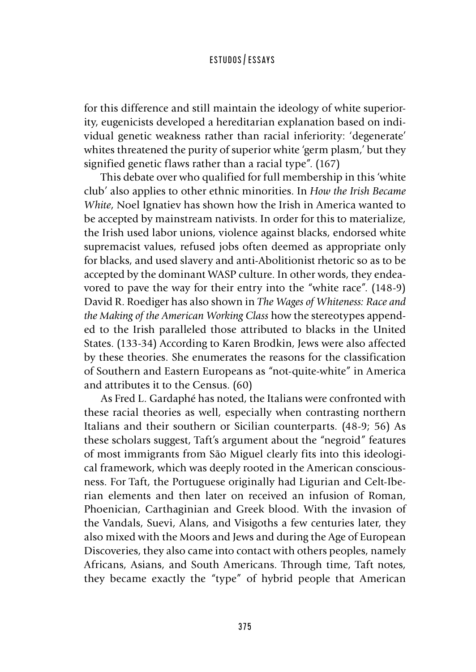for this difference and still maintain the ideology of white superiority, eugenicists developed a hereditarian explanation based on individual genetic weakness rather than racial inferiority: 'degenerate' whites threatened the purity of superior white 'germ plasm,' but they signified genetic flaws rather than a racial type". (167)

This debate over who qualified for full membership in this 'white club' also applies to other ethnic minorities. In *How the Irish Became White*, Noel Ignatiev has shown how the Irish in America wanted to be accepted by mainstream nativists. In order for this to materialize, the Irish used labor unions, violence against blacks, endorsed white supremacist values, refused jobs often deemed as appropriate only for blacks, and used slavery and anti-Abolitionist rhetoric so as to be accepted by the dominant WASP culture. In other words, they endeavored to pave the way for their entry into the "white race". (148-9) David R. Roediger has also shown in *The Wages of Whiteness: Race and the Making of the American Working Class* how the stereotypes appended to the Irish paralleled those attributed to blacks in the United States. (133-34) According to Karen Brodkin, Jews were also affected by these theories. She enumerates the reasons for the classification of Southern and Eastern Europeans as "not-quite-white" in America and attributes it to the Census. (60)

As Fred L. Gardaphé has noted, the Italians were confronted with these racial theories as well, especially when contrasting northern Italians and their southern or Sicilian counterparts. (48-9; 56) As these scholars suggest, Taft's argument about the "negroid" features of most immigrants from São Miguel clearly fits into this ideological framework, which was deeply rooted in the American consciousness. For Taft, the Portuguese originally had Ligurian and Celt-Iberian elements and then later on received an infusion of Roman, Phoenician, Carthaginian and Greek blood. With the invasion of the Vandals, Suevi, Alans, and Visigoths a few centuries later, they also mixed with the Moors and Jews and during the Age of European Discoveries, they also came into contact with others peoples, namely Africans, Asians, and South Americans. Through time, Taft notes, they became exactly the "type" of hybrid people that American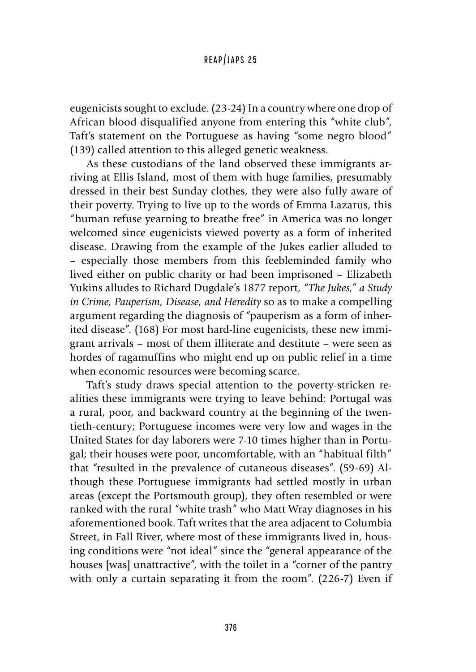eugenicists sought to exclude. (23-24) In a country where one drop of African blood disqualified anyone from entering this "white club", Taft's statement on the Portuguese as having "some negro blood" (139) called attention to this alleged genetic weakness.

As these custodians of the land observed these immigrants arriving at Ellis Island, most of them with huge families, presumably dressed in their best Sunday clothes, they were also fully aware of their poverty. Trying to live up to the words of Emma Lazarus, this "human refuse yearning to breathe free" in America was no longer welcomed since eugenicists viewed poverty as a form of inherited disease. Drawing from the example of the Jukes earlier alluded to – especially those members from this feebleminded family who lived either on public charity or had been imprisoned – Elizabeth Yukins alludes to Richard Dugdale's 1877 report, *"The Jukes," a Study in Crime, Pauperism, Disease, and Heredity* so as to make a compelling argument regarding the diagnosis of "pauperism as a form of inherited disease". (168) For most hard-line eugenicists, these new immigrant arrivals – most of them illiterate and destitute – were seen as hordes of ragamuffins who might end up on public relief in a time when economic resources were becoming scarce.

Taft's study draws special attention to the poverty-stricken realities these immigrants were trying to leave behind: Portugal was a rural, poor, and backward country at the beginning of the twentieth-century; Portuguese incomes were very low and wages in the United States for day laborers were 7-10 times higher than in Portugal; their houses were poor, uncomfortable, with an "habitual filth" that "resulted in the prevalence of cutaneous diseases". (59-69) Although these Portuguese immigrants had settled mostly in urban areas (except the Portsmouth group), they often resembled or were ranked with the rural "white trash" who Matt Wray diagnoses in his aforementioned book. Taft writes that the area adjacent to Columbia Street, in Fall River, where most of these immigrants lived in, housing conditions were "not ideal" since the "general appearance of the houses [was] unattractive", with the toilet in a "corner of the pantry with only a curtain separating it from the room". (226-7) Even if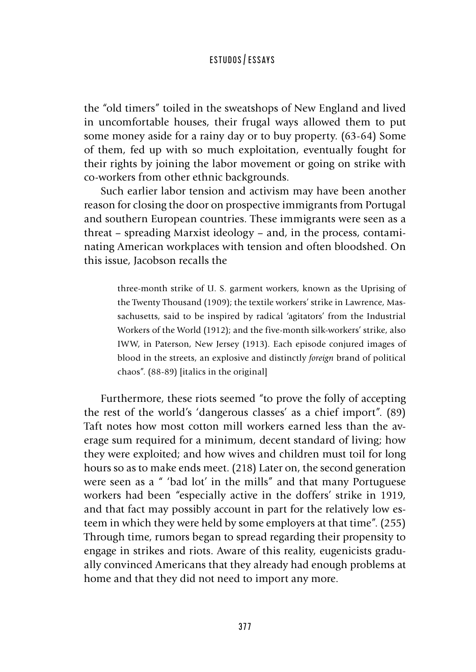the "old timers" toiled in the sweatshops of New England and lived in uncomfortable houses, their frugal ways allowed them to put some money aside for a rainy day or to buy property. (63-64) Some of them, fed up with so much exploitation, eventually fought for their rights by joining the labor movement or going on strike with co-workers from other ethnic backgrounds.

Such earlier labor tension and activism may have been another reason for closing the door on prospective immigrants from Portugal and southern European countries. These immigrants were seen as a threat – spreading Marxist ideology – and, in the process, contaminating American workplaces with tension and often bloodshed. On this issue, Jacobson recalls the

> three-month strike of U. S. garment workers, known as the Uprising of the Twenty Thousand (1909); the textile workers' strike in Lawrence, Massachusetts, said to be inspired by radical 'agitators' from the Industrial Workers of the World (1912); and the five-month silk-workers' strike, also IWW, in Paterson, New Jersey (1913). Each episode conjured images of blood in the streets, an explosive and distinctly *foreign* brand of political chaos". (88-89) [italics in the original]

Furthermore, these riots seemed "to prove the folly of accepting the rest of the world's 'dangerous classes' as a chief import". (89) Taft notes how most cotton mill workers earned less than the average sum required for a minimum, decent standard of living; how they were exploited; and how wives and children must toil for long hours so as to make ends meet. (218) Later on, the second generation were seen as a " 'bad lot' in the mills" and that many Portuguese workers had been "especially active in the doffers' strike in 1919, and that fact may possibly account in part for the relatively low esteem in which they were held by some employers at that time". (255) Through time, rumors began to spread regarding their propensity to engage in strikes and riots. Aware of this reality, eugenicists gradually convinced Americans that they already had enough problems at home and that they did not need to import any more.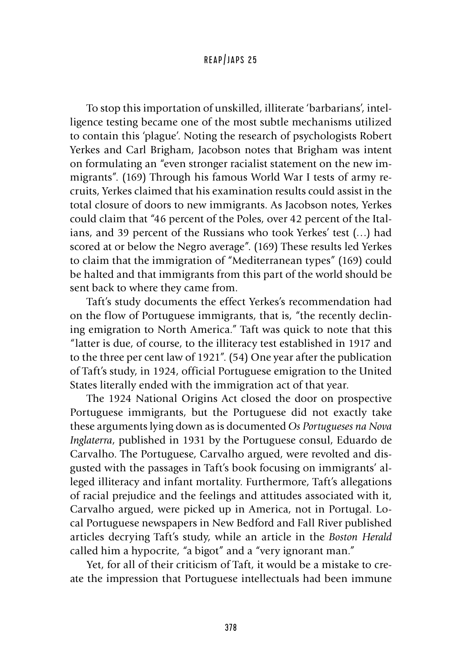To stop this importation of unskilled, illiterate 'barbarians', intelligence testing became one of the most subtle mechanisms utilized to contain this 'plague'. Noting the research of psychologists Robert Yerkes and Carl Brigham, Jacobson notes that Brigham was intent on formulating an "even stronger racialist statement on the new immigrants". (169) Through his famous World War I tests of army recruits, Yerkes claimed that his examination results could assist in the total closure of doors to new immigrants. As Jacobson notes, Yerkes could claim that "46 percent of the Poles, over 42 percent of the Italians, and 39 percent of the Russians who took Yerkes' test (…) had scored at or below the Negro average". (169) These results led Yerkes to claim that the immigration of "Mediterranean types" (169) could be halted and that immigrants from this part of the world should be sent back to where they came from.

Taft's study documents the effect Yerkes's recommendation had on the flow of Portuguese immigrants, that is, "the recently declining emigration to North America." Taft was quick to note that this "latter is due, of course, to the illiteracy test established in 1917 and to the three per cent law of 1921". (54) One year after the publication of Taft's study, in 1924, official Portuguese emigration to the United States literally ended with the immigration act of that year.

The 1924 National Origins Act closed the door on prospective Portuguese immigrants, but the Portuguese did not exactly take these arguments lying down as is documented *Os Portugueses na Nova Inglaterra*, published in 1931 by the Portuguese consul, Eduardo de Carvalho. The Portuguese, Carvalho argued, were revolted and disgusted with the passages in Taft's book focusing on immigrants' alleged illiteracy and infant mortality. Furthermore, Taft's allegations of racial prejudice and the feelings and attitudes associated with it, Carvalho argued, were picked up in America, not in Portugal. Local Portuguese newspapers in New Bedford and Fall River published articles decrying Taft's study, while an article in the *Boston Herald*  called him a hypocrite, "a bigot" and a "very ignorant man."

Yet, for all of their criticism of Taft, it would be a mistake to create the impression that Portuguese intellectuals had been immune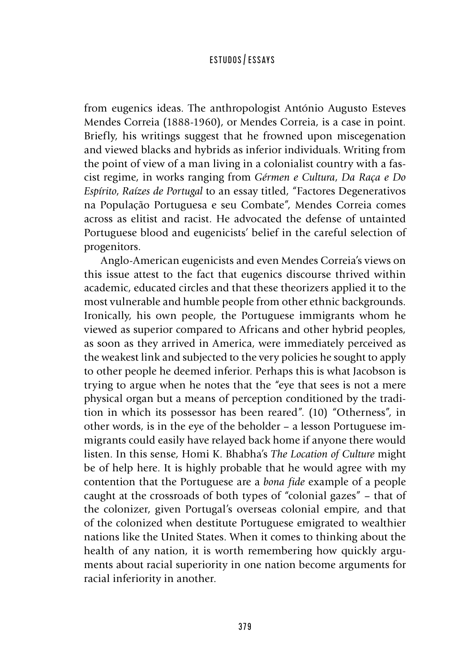from eugenics ideas. The anthropologist António Augusto Esteves Mendes Correia (1888-1960), or Mendes Correia, is a case in point. Briefly, his writings suggest that he frowned upon miscegenation and viewed blacks and hybrids as inferior individuals. Writing from the point of view of a man living in a colonialist country with a fascist regime, in works ranging from *Gérmen e Cultura*, *Da Raça e Do Espírito*, *Raízes de Portugal* to an essay titled, "Factores Degenerativos na População Portuguesa e seu Combate", Mendes Correia comes across as elitist and racist. He advocated the defense of untainted Portuguese blood and eugenicists' belief in the careful selection of progenitors.

Anglo-American eugenicists and even Mendes Correia's views on this issue attest to the fact that eugenics discourse thrived within academic, educated circles and that these theorizers applied it to the most vulnerable and humble people from other ethnic backgrounds. Ironically, his own people, the Portuguese immigrants whom he viewed as superior compared to Africans and other hybrid peoples, as soon as they arrived in America, were immediately perceived as the weakest link and subjected to the very policies he sought to apply to other people he deemed inferior. Perhaps this is what Jacobson is trying to argue when he notes that the "eye that sees is not a mere physical organ but a means of perception conditioned by the tradition in which its possessor has been reared". (10) "Otherness", in other words, is in the eye of the beholder – a lesson Portuguese immigrants could easily have relayed back home if anyone there would listen. In this sense, Homi K. Bhabha's *The Location of Culture* might be of help here. It is highly probable that he would agree with my contention that the Portuguese are a *bona fide* example of a people caught at the crossroads of both types of "colonial gazes" – that of the colonizer, given Portugal's overseas colonial empire, and that of the colonized when destitute Portuguese emigrated to wealthier nations like the United States. When it comes to thinking about the health of any nation, it is worth remembering how quickly arguments about racial superiority in one nation become arguments for racial inferiority in another.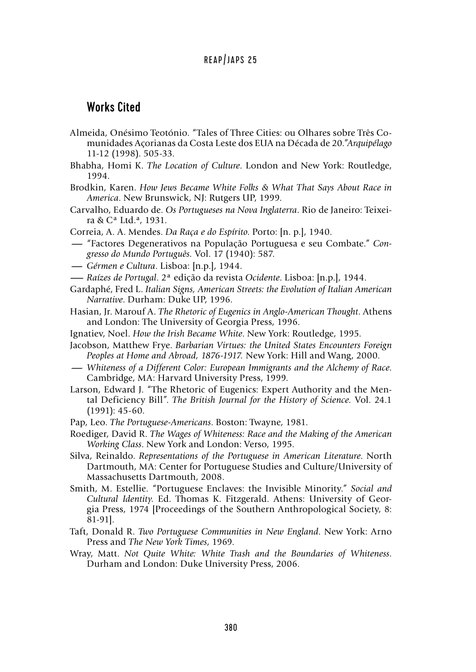### Works Cited

- Almeida, Onésimo Teotónio. "Tales of Three Cities: ou Olhares sobre Três Comunidades Açorianas da Costa Leste dos EUA na Década de 20."*Arquipélago*  11-12 (1998). 505-33.
- Bhabha, Homi K. *The Location of Culture*. London and New York: Routledge, 1994.
- Brodkin, Karen. *How Jews Became White Folks & What That Says About Race in America*. New Brunswick, NJ: Rutgers UP, 1999.
- Carvalho, Eduardo de. *Os Portugueses na Nova Inglaterra*. Rio de Janeiro: Teixeira & Cª Ltd.ª, 1931.
- Correia, A. A. Mendes. *Da Raça e do Espírito*. Porto: [n. p.], 1940.
- **-** a & C<sup>a</sup> Ltd.<sup>a</sup>, 1931.<br> **Correia, A. A. Mendes.** *Da Raça e do Espírito*. Porto: [n. p.], 1940.<br>
"Factores Degenerativos na População Portuguesa e seu Combate." *Con-*<br> *erresso do Mundo Português.* Vol. 17 (1940): *gresso do Mundo Português.* Vol. 17 (1940): 587. **-** "Factores Degenerativos na População<br>**-** "Factores Degenerativos na População<br>*gresso do Mundo Português.* Vol. 17 (194<br>-- *Gérmen e Cultura*. Lisboa: [n.p.], 1944.<br>-- *Raízes de Portugal* 2ª edição da revista
- 
- **—** *Raízes de Portugal*. 2ª edição da revista *Ocidente*. Lisboa: [n.p.], 1944.
- Gardaphé, Fred L. *Italian Signs, American Streets: the Evolution of Italian American Narrative*. Durham: Duke UP, 1996.
- Hasian, Jr. Marouf A. *The Rhetoric of Eugenics in Anglo-American Thought*. Athens and London: The University of Georgia Press, 1996.
- Ignatiev, Noel. *How the Irish Became White*. New York: Routledge, 1995.
- Jacobson, Matthew Frye. *Barbarian Virtues: the United States Encounters Foreign Peoples at Home and Abroad, 1876-1917. New York: Hill and Wang, 2000.<br>— Whiteness of a Different Color: European Immigrants and the Alchemy o Peoples at Home and Abroad, 1876-1917.* New York: Hill and Wang, 2000.
- Cambridge, MA: Harvard University Press, 1999.
- Larson, Edward J. "The Rhetoric of Eugenics: Expert Authority and the Mental Deficiency Bill". *The British Journal for the History of Science.* Vol. 24.1 (1991): 45-60.
- Pap, Leo. *The Portuguese-Americans*. Boston: Twayne, 1981.
- Roediger, David R. *The Wages of Whiteness: Race and the Making of the American Working Class*. New York and London: Verso, 1995.
- Silva, Reinaldo. *Representations of the Portuguese in American Literature*. North Dartmouth, MA: Center for Portuguese Studies and Culture/University of Massachusetts Dartmouth, 2008.
- Smith, M. Estellie. "Portuguese Enclaves: the Invisible Minority." *Social and Cultural Identity*. Ed. Thomas K. Fitzgerald. Athens: University of Georgia Press, 1974 [Proceedings of the Southern Anthropological Society, 8: 81-91].
- Taft, Donald R. *Two Portuguese Communities in New England*. New York: Arno Press and *The New York Times*, 1969.
- Wray, Matt. *Not Quite White: White Trash and the Boundaries of Whiteness*. Durham and London: Duke University Press, 2006.